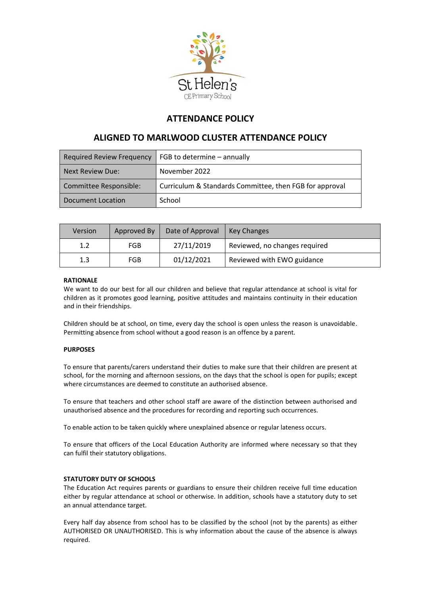

# **ATTENDANCE POLICY**

# **ALIGNED TO MARLWOOD CLUSTER ATTENDANCE POLICY**

| Required Review Frequency | FGB to determine - annually                             |  |
|---------------------------|---------------------------------------------------------|--|
| Next Review Due:          | November 2022                                           |  |
| Committee Responsible:    | Curriculum & Standards Committee, then FGB for approval |  |
| Document Location         | School                                                  |  |

| Version | Approved By | Date of Approval | Key Changes                   |
|---------|-------------|------------------|-------------------------------|
| 1.2     | <b>FGB</b>  | 27/11/2019       | Reviewed, no changes required |
| 1.3     | FGB         | 01/12/2021       | Reviewed with EWO guidance    |

# **RATIONALE**

We want to do our best for all our children and believe that regular attendance at school is vital for children as it promotes good learning, positive attitudes and maintains continuity in their education and in their friendships.

Children should be at school, on time, every day the school is open unless the reason is unavoidable. Permitting absence from school without a good reason is an offence by a parent.

# **PURPOSES**

To ensure that parents/carers understand their duties to make sure that their children are present at school, for the morning and afternoon sessions, on the days that the school is open for pupils; except where circumstances are deemed to constitute an authorised absence.

To ensure that teachers and other school staff are aware of the distinction between authorised and unauthorised absence and the procedures for recording and reporting such occurrences.

To enable action to be taken quickly where unexplained absence or regular lateness occurs.

To ensure that officers of the Local Education Authority are informed where necessary so that they can fulfil their statutory obligations.

# **STATUTORY DUTY OF SCHOOLS**

The Education Act requires parents or guardians to ensure their children receive full time education either by regular attendance at school or otherwise. In addition, schools have a statutory duty to set an annual attendance target.

Every half day absence from school has to be classified by the school (not by the parents) as either AUTHORISED OR UNAUTHORISED. This is why information about the cause of the absence is always required.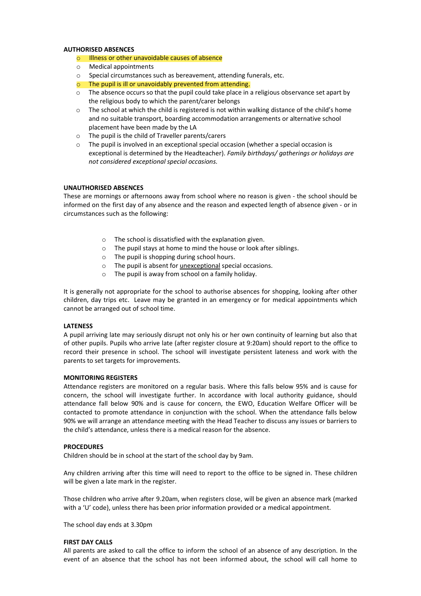#### **AUTHORISED ABSENCES**

# o Illness or other unavoidable causes of absence

- o Medical appointments
- o Special circumstances such as bereavement, attending funerals, etc.
- o The pupil is ill or unavoidably prevented from attending.
- $\circ$  The absence occurs so that the pupil could take place in a religious observance set apart by the religious body to which the parent/carer belongs
- $\circ$  The school at which the child is registered is not within walking distance of the child's home and no suitable transport, boarding accommodation arrangements or alternative school placement have been made by the LA
- o The pupil is the child of Traveller parents/carers
- $\circ$  The pupil is involved in an exceptional special occasion (whether a special occasion is exceptional is determined by the Headteacher). *Family birthdays/ gatherings or holidays are not considered exceptional special occasions.*

## **UNAUTHORISED ABSENCES**

These are mornings or afternoons away from school where no reason is given - the school should be informed on the first day of any absence and the reason and expected length of absence given - or in circumstances such as the following:

- o The school is dissatisfied with the explanation given.
- o The pupil stays at home to mind the house or look after siblings.
- o The pupil is shopping during school hours.
- o The pupil is absent for unexceptional special occasions.
- o The pupil is away from school on a family holiday.

It is generally not appropriate for the school to authorise absences for shopping, looking after other children, day trips etc. Leave may be granted in an emergency or for medical appointments which cannot be arranged out of school time.

#### **LATENESS**

A pupil arriving late may seriously disrupt not only his or her own continuity of learning but also that of other pupils. Pupils who arrive late (after register closure at 9:20am) should report to the office to record their presence in school. The school will investigate persistent lateness and work with the parents to set targets for improvements.

#### **MONITORING REGISTERS**

Attendance registers are monitored on a regular basis. Where this falls below 95% and is cause for concern, the school will investigate further. In accordance with local authority guidance, should attendance fall below 90% and is cause for concern, the EWO, Education Welfare Officer will be contacted to promote attendance in conjunction with the school. When the attendance falls below 90% we will arrange an attendance meeting with the Head Teacher to discuss any issues or barriers to the child's attendance, unless there is a medical reason for the absence.

#### **PROCEDURES**

Children should be in school at the start of the school day by 9am.

Any children arriving after this time will need to report to the office to be signed in. These children will be given a late mark in the register.

Those children who arrive after 9.20am, when registers close, will be given an absence mark (marked with a 'U' code), unless there has been prior information provided or a medical appointment.

The school day ends at 3.30pm

#### **FIRST DAY CALLS**

All parents are asked to call the office to inform the school of an absence of any description. In the event of an absence that the school has not been informed about, the school will call home to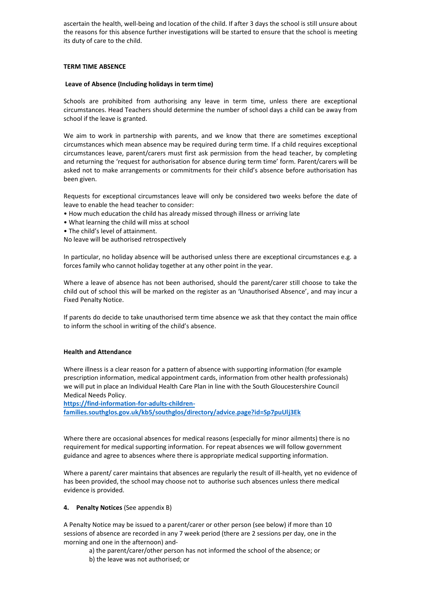ascertain the health, well-being and location of the child. If after 3 days the school is still unsure about the reasons for this absence further investigations will be started to ensure that the school is meeting its duty of care to the child.

# **TERM TIME ABSENCE**

## **Leave of Absence (Including holidays in term time)**

Schools are prohibited from authorising any leave in term time, unless there are exceptional circumstances. Head Teachers should determine the number of school days a child can be away from school if the leave is granted.

We aim to work in partnership with parents, and we know that there are sometimes exceptional circumstances which mean absence may be required during term time. If a child requires exceptional circumstances leave, parent/carers must first ask permission from the head teacher, by completing and returning the 'request for authorisation for absence during term time' form. Parent/carers will be asked not to make arrangements or commitments for their child's absence before authorisation has been given.

Requests for exceptional circumstances leave will only be considered two weeks before the date of leave to enable the head teacher to consider:

- How much education the child has already missed through illness or arriving late
- What learning the child will miss at school
- The child's level of attainment.

No leave will be authorised retrospectively

In particular, no holiday absence will be authorised unless there are exceptional circumstances e.g. a forces family who cannot holiday together at any other point in the year.

Where a leave of absence has not been authorised, should the parent/carer still choose to take the child out of school this will be marked on the register as an 'Unauthorised Absence', and may incur a Fixed Penalty Notice.

If parents do decide to take unauthorised term time absence we ask that they contact the main office to inform the school in writing of the child's absence.

## **Health and Attendance**

Where illness is a clear reason for a pattern of absence with supporting information (for example prescription information, medical appointment cards, information from other health professionals) we will put in place an Individual Health Care Plan in line with the South Gloucestershire Council Medical Needs Policy.

**[https://find-information-for-adults-children](https://find-information-for-adults-children-families.southglos.gov.uk/kb5/southglos/directory/advice.page?id=Sp7puUlj3Ek)[families.southglos.gov.uk/kb5/southglos/directory/advice.page?id=Sp7puUlj3Ek](https://find-information-for-adults-children-families.southglos.gov.uk/kb5/southglos/directory/advice.page?id=Sp7puUlj3Ek)**

Where there are occasional absences for medical reasons (especially for minor ailments) there is no requirement for medical supporting information. For repeat absences we will follow government guidance and agree to absences where there is appropriate medical supporting information.

Where a parent/ carer maintains that absences are regularly the result of ill-health, yet no evidence of has been provided, the school may choose not to authorise such absences unless there medical evidence is provided.

# **4. Penalty Notices** (See appendix B)

A Penalty Notice may be issued to a parent/carer or other person (see below) if more than 10 sessions of absence are recorded in any 7 week period (there are 2 sessions per day, one in the morning and one in the afternoon) and-

- a) the parent/carer/other person has not informed the school of the absence; or
- b) the leave was not authorised; or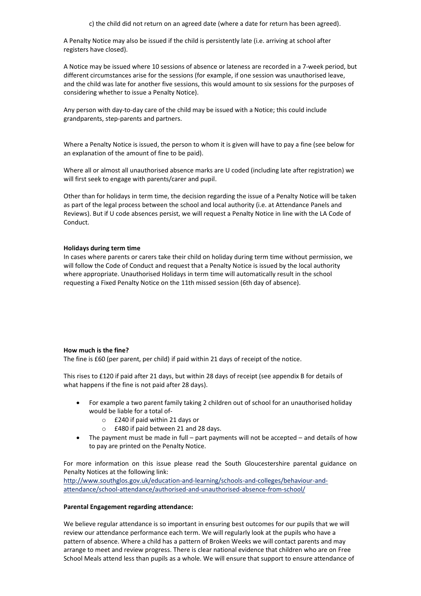A Penalty Notice may also be issued if the child is persistently late (i.e. arriving at school after registers have closed).

A Notice may be issued where 10 sessions of absence or lateness are recorded in a 7-week period, but different circumstances arise for the sessions (for example, if one session was unauthorised leave, and the child was late for another five sessions, this would amount to six sessions for the purposes of considering whether to issue a Penalty Notice).

Any person with day-to-day care of the child may be issued with a Notice; this could include grandparents, step-parents and partners.

Where a Penalty Notice is issued, the person to whom it is given will have to pay a fine (see below for an explanation of the amount of fine to be paid).

Where all or almost all unauthorised absence marks are U coded (including late after registration) we will first seek to engage with parents/carer and pupil.

Other than for holidays in term time, the decision regarding the issue of a Penalty Notice will be taken as part of the legal process between the school and local authority (i.e. at Attendance Panels and Reviews). But if U code absences persist, we will request a Penalty Notice in line with the LA Code of Conduct.

# **Holidays during term time**

In cases where parents or carers take their child on holiday during term time without permission, we will follow the Code of Conduct and request that a Penalty Notice is issued by the local authority where appropriate. Unauthorised Holidays in term time will automatically result in the school requesting a Fixed Penalty Notice on the 11th missed session (6th day of absence).

# **How much is the fine?**

The fine is £60 (per parent, per child) if paid within 21 days of receipt of the notice.

This rises to £120 if paid after 21 days, but within 28 days of receipt (see appendix B for details of what happens if the fine is not paid after 28 days).

- For example a two parent family taking 2 children out of school for an unauthorised holiday would be liable for a total of
	- o £240 if paid within 21 days or
	- o £480 if paid between 21 and 28 days.
- The payment must be made in full part payments will not be accepted and details of how to pay are printed on the Penalty Notice.

For more information on this issue please read the South Gloucestershire parental guidance on Penalty Notices at the following link:

[http://www.southglos.gov.uk/education-and-learning/schools-and-colleges/behaviour-and](http://www.southglos.gov.uk/education-and-learning/schools-and-colleges/behaviour-and-attendance/school-attendance/authorised-and-unauthorised-absence-from-school/)[attendance/school-attendance/authorised-and-unauthorised-absence-from-school/](http://www.southglos.gov.uk/education-and-learning/schools-and-colleges/behaviour-and-attendance/school-attendance/authorised-and-unauthorised-absence-from-school/)

#### **Parental Engagement regarding attendance:**

We believe regular attendance is so important in ensuring best outcomes for our pupils that we will review our attendance performance each term. We will regularly look at the pupils who have a pattern of absence. Where a child has a pattern of Broken Weeks we will contact parents and may arrange to meet and review progress. There is clear national evidence that children who are on Free School Meals attend less than pupils as a whole. We will ensure that support to ensure attendance of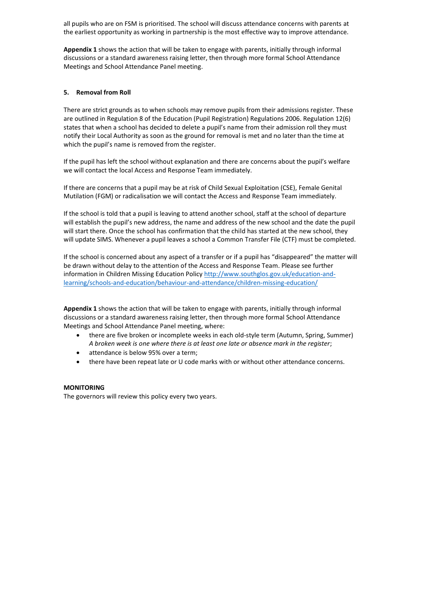all pupils who are on FSM is prioritised. The school will discuss attendance concerns with parents at the earliest opportunity as working in partnership is the most effective way to improve attendance.

**Appendix 1** shows the action that will be taken to engage with parents, initially through informal discussions or a standard awareness raising letter, then through more formal School Attendance Meetings and School Attendance Panel meeting.

# **5. Removal from Roll**

There are strict grounds as to when schools may remove pupils from their admissions register. These are outlined in Regulation 8 of the Education (Pupil Registration) Regulations 2006. Regulation 12(6) states that when a school has decided to delete a pupil's name from their admission roll they must notify their Local Authority as soon as the ground for removal is met and no later than the time at which the pupil's name is removed from the register.

If the pupil has left the school without explanation and there are concerns about the pupil's welfare we will contact the local Access and Response Team immediately.

If there are concerns that a pupil may be at risk of Child Sexual Exploitation (CSE), Female Genital Mutilation (FGM) or radicalisation we will contact the Access and Response Team immediately.

If the school is told that a pupil is leaving to attend another school, staff at the school of departure will establish the pupil's new address, the name and address of the new school and the date the pupil will start there. Once the school has confirmation that the child has started at the new school, they will update SIMS. Whenever a pupil leaves a school a Common Transfer File (CTF) must be completed.

If the school is concerned about any aspect of a transfer or if a pupil has "disappeared" the matter will be drawn without delay to the attention of the Access and Response Team. Please see further information in Children Missing Education Policy [http://www.southglos.gov.uk/education-and](http://www.southglos.gov.uk/education-and-learning/schools-and-education/behaviour-and-attendance/children-missing-education/)[learning/schools-and-education/behaviour-and-attendance/children-missing-education/](http://www.southglos.gov.uk/education-and-learning/schools-and-education/behaviour-and-attendance/children-missing-education/)

**Appendix 1** shows the action that will be taken to engage with parents, initially through informal discussions or a standard awareness raising letter, then through more formal School Attendance Meetings and School Attendance Panel meeting, where:

- there are five broken or incomplete weeks in each old-style term (Autumn, Spring, Summer) *A broken week is one where there is at least one late or absence mark in the register*;
- attendance is below 95% over a term;
- there have been repeat late or U code marks with or without other attendance concerns.

# **MONITORING**

The governors will review this policy every two years.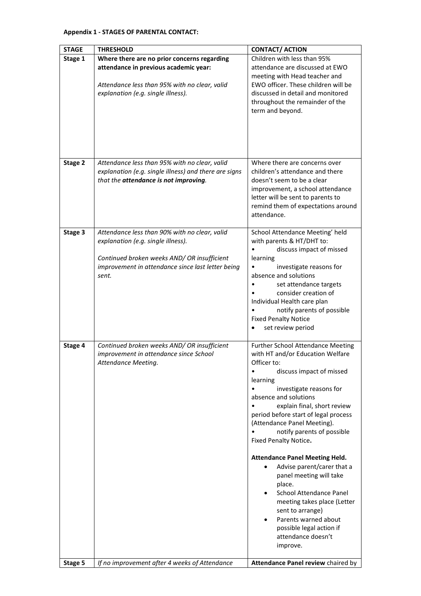# **Appendix 1 - STAGES OF PARENTAL CONTACT:**

| <b>STAGE</b> | <b>THRESHOLD</b>                                                                                                                                                                                 | <b>CONTACT/ ACTION</b>                                                                                                                                                                                                                                                                                                                                                                                                                                                                                                                                                                                                                                   |
|--------------|--------------------------------------------------------------------------------------------------------------------------------------------------------------------------------------------------|----------------------------------------------------------------------------------------------------------------------------------------------------------------------------------------------------------------------------------------------------------------------------------------------------------------------------------------------------------------------------------------------------------------------------------------------------------------------------------------------------------------------------------------------------------------------------------------------------------------------------------------------------------|
| Stage 1      | Where there are no prior concerns regarding<br>attendance in previous academic year:<br>Attendance less than 95% with no clear, valid<br>explanation (e.g. single illness).                      | Children with less than 95%<br>attendance are discussed at EWO<br>meeting with Head teacher and<br>EWO officer. These children will be<br>discussed in detail and monitored<br>throughout the remainder of the<br>term and beyond.                                                                                                                                                                                                                                                                                                                                                                                                                       |
| Stage 2      | Attendance less than 95% with no clear, valid<br>explanation (e.g. single illness) and there are signs<br>that the attendance is not improving.                                                  | Where there are concerns over<br>children's attendance and there<br>doesn't seem to be a clear<br>improvement, a school attendance<br>letter will be sent to parents to<br>remind them of expectations around<br>attendance.                                                                                                                                                                                                                                                                                                                                                                                                                             |
| Stage 3      | Attendance less than 90% with no clear, valid<br>explanation (e.g. single illness).<br>Continued broken weeks AND/ OR insufficient<br>improvement in attendance since last letter being<br>sent. | School Attendance Meeting' held<br>with parents & HT/DHT to:<br>discuss impact of missed<br>learning<br>investigate reasons for<br>absence and solutions<br>set attendance targets<br>consider creation of<br>Individual Health care plan<br>notify parents of possible<br><b>Fixed Penalty Notice</b><br>set review period                                                                                                                                                                                                                                                                                                                              |
| Stage 4      | Continued broken weeks AND/ OR insufficient<br>improvement in attendance since School<br>Attendance Meeting.                                                                                     | <b>Further School Attendance Meeting</b><br>with HT and/or Education Welfare<br>Officer to:<br>discuss impact of missed<br>learning<br>investigate reasons for<br>absence and solutions<br>explain final, short review<br>period before start of legal process<br>(Attendance Panel Meeting).<br>notify parents of possible<br>Fixed Penalty Notice.<br><b>Attendance Panel Meeting Held.</b><br>Advise parent/carer that a<br>$\bullet$<br>panel meeting will take<br>place.<br><b>School Attendance Panel</b><br>meeting takes place (Letter<br>sent to arrange)<br>Parents warned about<br>possible legal action if<br>attendance doesn't<br>improve. |
| Stage 5      | If no improvement after 4 weeks of Attendance                                                                                                                                                    | Attendance Panel review chaired by                                                                                                                                                                                                                                                                                                                                                                                                                                                                                                                                                                                                                       |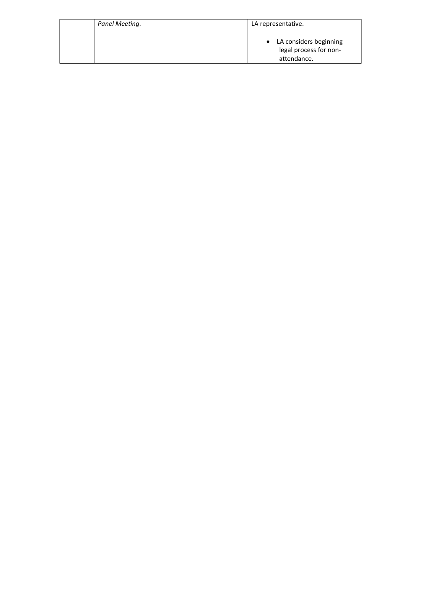| Panel Meeting. | LA representative.                                                |
|----------------|-------------------------------------------------------------------|
|                | • LA considers beginning<br>legal process for non-<br>attendance. |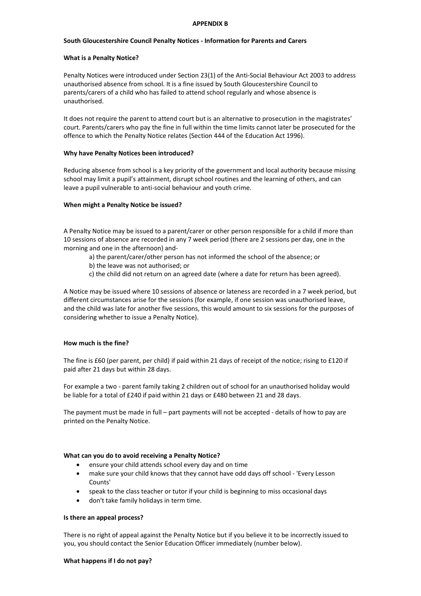#### **APPENDIX B**

## **South Gloucestershire Council Penalty Notices - Information for Parents and Carers**

## **What is a Penalty Notice?**

Penalty Notices were introduced under Section 23(1) of the Anti-Social Behaviour Act 2003 to address unauthorised absence from school. It is a fine issued by South Gloucestershire Council to parents/carers of a child who has failed to attend school regularly and whose absence is unauthorised.

It does not require the parent to attend court but is an alternative to prosecution in the magistrates' court. Parents/carers who pay the fine in full within the time limits cannot later be prosecuted for the offence to which the Penalty Notice relates (Section 444 of the Education Act 1996).

## **Why have Penalty Notices been introduced?**

Reducing absence from school is a key priority of the government and local authority because missing school may limit a pupil's attainment, disrupt school routines and the learning of others, and can leave a pupil vulnerable to anti-social behaviour and youth crime.

## **When might a Penalty Notice be issued?**

A Penalty Notice may be issued to a parent/carer or other person responsible for a child if more than 10 sessions of absence are recorded in any 7 week period (there are 2 sessions per day, one in the morning and one in the afternoon) and-

- a) the parent/carer/other person has not informed the school of the absence; or
- b) the leave was not authorised; or
- c) the child did not return on an agreed date (where a date for return has been agreed).

A Notice may be issued where 10 sessions of absence or lateness are recorded in a 7 week period, but different circumstances arise for the sessions (for example, if one session was unauthorised leave, and the child was late for another five sessions, this would amount to six sessions for the purposes of considering whether to issue a Penalty Notice).

#### **How much is the fine?**

The fine is £60 (per parent, per child) if paid within 21 days of receipt of the notice; rising to £120 if paid after 21 days but within 28 days.

For example a two - parent family taking 2 children out of school for an unauthorised holiday would be liable for a total of £240 if paid within 21 days or £480 between 21 and 28 days.

The payment must be made in full – part payments will not be accepted - details of how to pay are printed on the Penalty Notice.

#### **What can you do to avoid receiving a Penalty Notice?**

- ensure your child attends school every day and on time
- make sure your child knows that they cannot have odd days off school 'Every Lesson Counts'
- speak to the class teacher or tutor if your child is beginning to miss occasional days
- don't take family holidays in term time.

## **Is there an appeal process?**

There is no right of appeal against the Penalty Notice but if you believe it to be incorrectly issued to you, you should contact the Senior Education Officer immediately (number below).

#### **What happens if I do not pay?**